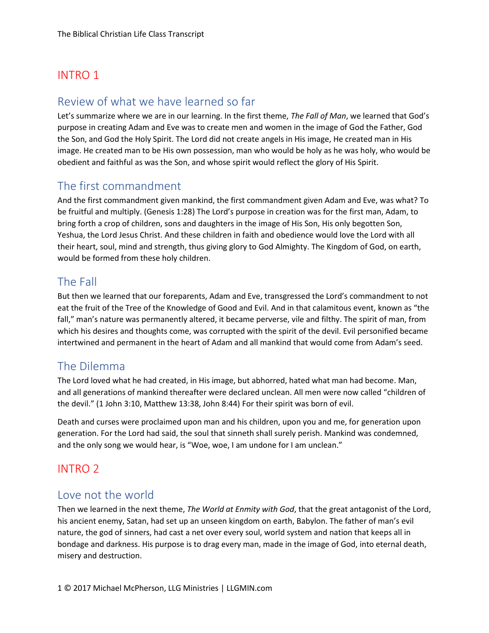# INTRO 1

## Review of what we have learned so far

Let's summarize where we are in our learning. In the first theme, *The Fall of Man*, we learned that God's purpose in creating Adam and Eve was to create men and women in the image of God the Father, God the Son, and God the Holy Spirit. The Lord did not create angels in His image, He created man in His image. He created man to be His own possession, man who would be holy as he was holy, who would be obedient and faithful as was the Son, and whose spirit would reflect the glory of His Spirit.

## The first commandment

And the first commandment given mankind, the first commandment given Adam and Eve, was what? To be fruitful and multiply. (Genesis 1:28) The Lord's purpose in creation was for the first man, Adam, to bring forth a crop of children, sons and daughters in the image of His Son, His only begotten Son, Yeshua, the Lord Jesus Christ. And these children in faith and obedience would love the Lord with all their heart, soul, mind and strength, thus giving glory to God Almighty. The Kingdom of God, on earth, would be formed from these holy children.

## The Fall

But then we learned that our foreparents, Adam and Eve, transgressed the Lord's commandment to not eat the fruit of the Tree of the Knowledge of Good and Evil. And in that calamitous event, known as "the fall," man's nature was permanently altered, it became perverse, vile and filthy. The spirit of man, from which his desires and thoughts come, was corrupted with the spirit of the devil. Evil personified became intertwined and permanent in the heart of Adam and all mankind that would come from Adam's seed.

## The Dilemma

The Lord loved what he had created, in His image, but abhorred, hated what man had become. Man, and all generations of mankind thereafter were declared unclean. All men were now called "children of the devil." (1 John 3:10, Matthew 13:38, John 8:44) For their spirit was born of evil.

Death and curses were proclaimed upon man and his children, upon you and me, for generation upon generation. For the Lord had said, the soul that sinneth shall surely perish. Mankind was condemned, and the only song we would hear, is "Woe, woe, I am undone for I am unclean."

## INTRO 2

#### Love not the world

Then we learned in the next theme, *The World at Enmity with God*, that the great antagonist of the Lord, his ancient enemy, Satan, had set up an unseen kingdom on earth, Babylon. The father of man's evil nature, the god of sinners, had cast a net over every soul, world system and nation that keeps all in bondage and darkness. His purpose is to drag every man, made in the image of God, into eternal death, misery and destruction.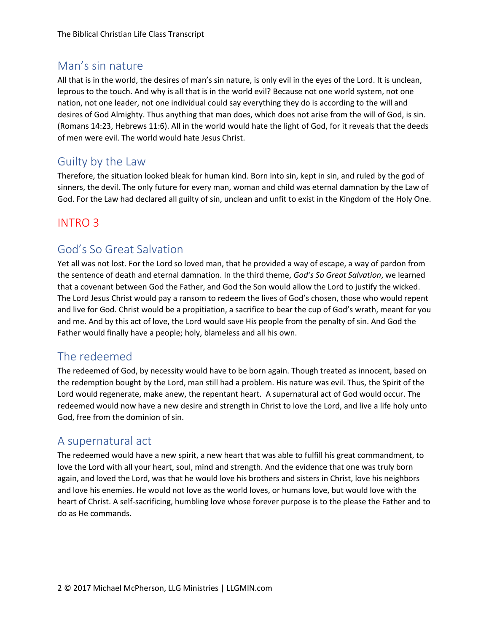## Man's sin nature

All that is in the world, the desires of man's sin nature, is only evil in the eyes of the Lord. It is unclean, leprous to the touch. And why is all that is in the world evil? Because not one world system, not one nation, not one leader, not one individual could say everything they do is according to the will and desires of God Almighty. Thus anything that man does, which does not arise from the will of God, is sin. (Romans 14:23, Hebrews 11:6). All in the world would hate the light of God, for it reveals that the deeds of men were evil. The world would hate Jesus Christ.

## Guilty by the Law

Therefore, the situation looked bleak for human kind. Born into sin, kept in sin, and ruled by the god of sinners, the devil. The only future for every man, woman and child was eternal damnation by the Law of God. For the Law had declared all guilty of sin, unclean and unfit to exist in the Kingdom of the Holy One.

## INTRO 3

## God's So Great Salvation

Yet all was not lost. For the Lord so loved man, that he provided a way of escape, a way of pardon from the sentence of death and eternal damnation. In the third theme, *God's So Great Salvation*, we learned that a covenant between God the Father, and God the Son would allow the Lord to justify the wicked. The Lord Jesus Christ would pay a ransom to redeem the lives of God's chosen, those who would repent and live for God. Christ would be a propitiation, a sacrifice to bear the cup of God's wrath, meant for you and me. And by this act of love, the Lord would save His people from the penalty of sin. And God the Father would finally have a people; holy, blameless and all his own.

## The redeemed

The redeemed of God, by necessity would have to be born again. Though treated as innocent, based on the redemption bought by the Lord, man still had a problem. His nature was evil. Thus, the Spirit of the Lord would regenerate, make anew, the repentant heart. A supernatural act of God would occur. The redeemed would now have a new desire and strength in Christ to love the Lord, and live a life holy unto God, free from the dominion of sin.

### A supernatural act

The redeemed would have a new spirit, a new heart that was able to fulfill his great commandment, to love the Lord with all your heart, soul, mind and strength. And the evidence that one was truly born again, and loved the Lord, was that he would love his brothers and sisters in Christ, love his neighbors and love his enemies. He would not love as the world loves, or humans love, but would love with the heart of Christ. A self-sacrificing, humbling love whose forever purpose is to the please the Father and to do as He commands.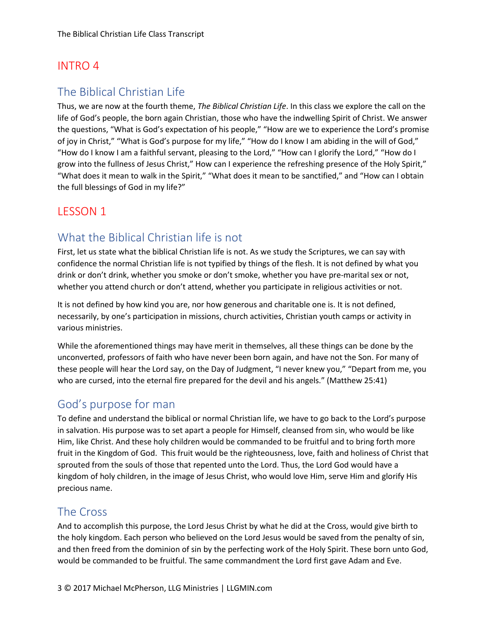## INTRO 4

## The Biblical Christian Life

Thus, we are now at the fourth theme, *The Biblical Christian Life*. In this class we explore the call on the life of God's people, the born again Christian, those who have the indwelling Spirit of Christ. We answer the questions, "What is God's expectation of his people," "How are we to experience the Lord's promise of joy in Christ," "What is God's purpose for my life," "How do I know I am abiding in the will of God," "How do I know I am a faithful servant, pleasing to the Lord," "How can I glorify the Lord," "How do I grow into the fullness of Jesus Christ," How can I experience the refreshing presence of the Holy Spirit," "What does it mean to walk in the Spirit," "What does it mean to be sanctified," and "How can I obtain the full blessings of God in my life?"

### LESSON 1

### What the Biblical Christian life is not

First, let us state what the biblical Christian life is not. As we study the Scriptures, we can say with confidence the normal Christian life is not typified by things of the flesh. It is not defined by what you drink or don't drink, whether you smoke or don't smoke, whether you have pre-marital sex or not, whether you attend church or don't attend, whether you participate in religious activities or not.

It is not defined by how kind you are, nor how generous and charitable one is. It is not defined, necessarily, by one's participation in missions, church activities, Christian youth camps or activity in various ministries.

While the aforementioned things may have merit in themselves, all these things can be done by the unconverted, professors of faith who have never been born again, and have not the Son. For many of these people will hear the Lord say, on the Day of Judgment, "I never knew you," "Depart from me, you who are cursed, into the eternal fire prepared for the devil and his angels." (Matthew 25:41)

#### God's purpose for man

To define and understand the biblical or normal Christian life, we have to go back to the Lord's purpose in salvation. His purpose was to set apart a people for Himself, cleansed from sin, who would be like Him, like Christ. And these holy children would be commanded to be fruitful and to bring forth more fruit in the Kingdom of God. This fruit would be the righteousness, love, faith and holiness of Christ that sprouted from the souls of those that repented unto the Lord. Thus, the Lord God would have a kingdom of holy children, in the image of Jesus Christ, who would love Him, serve Him and glorify His precious name.

#### The Cross

And to accomplish this purpose, the Lord Jesus Christ by what he did at the Cross, would give birth to the holy kingdom. Each person who believed on the Lord Jesus would be saved from the penalty of sin, and then freed from the dominion of sin by the perfecting work of the Holy Spirit. These born unto God, would be commanded to be fruitful. The same commandment the Lord first gave Adam and Eve.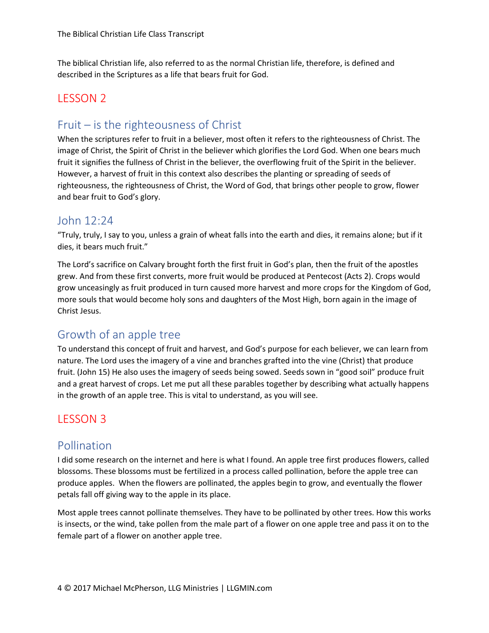The biblical Christian life, also referred to as the normal Christian life, therefore, is defined and described in the Scriptures as a life that bears fruit for God.

### LESSON 2

## Fruit – is the righteousness of Christ

When the scriptures refer to fruit in a believer, most often it refers to the righteousness of Christ. The image of Christ, the Spirit of Christ in the believer which glorifies the Lord God. When one bears much fruit it signifies the fullness of Christ in the believer, the overflowing fruit of the Spirit in the believer. However, a harvest of fruit in this context also describes the planting or spreading of seeds of righteousness, the righteousness of Christ, the Word of God, that brings other people to grow, flower and bear fruit to God's glory.

### John 12:24

"Truly, truly, I say to you, unless a grain of wheat falls into the earth and dies, it remains alone; but if it dies, it bears much fruit."

The Lord's sacrifice on Calvary brought forth the first fruit in God's plan, then the fruit of the apostles grew. And from these first converts, more fruit would be produced at Pentecost (Acts 2). Crops would grow unceasingly as fruit produced in turn caused more harvest and more crops for the Kingdom of God, more souls that would become holy sons and daughters of the Most High, born again in the image of Christ Jesus.

## Growth of an apple tree

To understand this concept of fruit and harvest, and God's purpose for each believer, we can learn from nature. The Lord uses the imagery of a vine and branches grafted into the vine (Christ) that produce fruit. (John 15) He also uses the imagery of seeds being sowed. Seeds sown in "good soil" produce fruit and a great harvest of crops. Let me put all these parables together by describing what actually happens in the growth of an apple tree. This is vital to understand, as you will see.

## LESSON 3

### Pollination

I did some research on the internet and here is what I found. An apple tree first produces flowers, called blossoms. These blossoms must be fertilized in a process called pollination, before the apple tree can produce apples. When the flowers are pollinated, the apples begin to grow, and eventually the flower petals fall off giving way to the apple in its place.

Most apple trees cannot pollinate themselves. They have to be pollinated by other trees. How this works is insects, or the wind, take pollen from the male part of a flower on one apple tree and pass it on to the female part of a flower on another apple tree.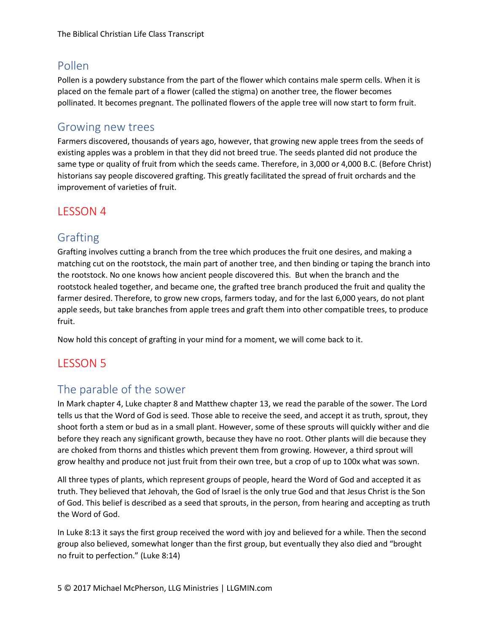## Pollen

Pollen is a powdery substance from the part of the flower which contains male sperm cells. When it is placed on the female part of a flower (called the stigma) on another tree, the flower becomes pollinated. It becomes pregnant. The pollinated flowers of the apple tree will now start to form fruit.

#### Growing new trees

Farmers discovered, thousands of years ago, however, that growing new apple trees from the seeds of existing apples was a problem in that they did not breed true. The seeds planted did not produce the same type or quality of fruit from which the seeds came. Therefore, in 3,000 or 4,000 B.C. (Before Christ) historians say people discovered grafting. This greatly facilitated the spread of fruit orchards and the improvement of varieties of fruit.

### LESSON 4

## Grafting

Grafting involves cutting a branch from the tree which produces the fruit one desires, and making a matching cut on the rootstock, the main part of another tree, and then binding or taping the branch into the rootstock. No one knows how ancient people discovered this. But when the branch and the rootstock healed together, and became one, the grafted tree branch produced the fruit and quality the farmer desired. Therefore, to grow new crops, farmers today, and for the last 6,000 years, do not plant apple seeds, but take branches from apple trees and graft them into other compatible trees, to produce fruit.

Now hold this concept of grafting in your mind for a moment, we will come back to it.

# LESSON 5

### The parable of the sower

In Mark chapter 4, Luke chapter 8 and Matthew chapter 13, we read the parable of the sower. The Lord tells us that the Word of God is seed. Those able to receive the seed, and accept it as truth, sprout, they shoot forth a stem or bud as in a small plant. However, some of these sprouts will quickly wither and die before they reach any significant growth, because they have no root. Other plants will die because they are choked from thorns and thistles which prevent them from growing. However, a third sprout will grow healthy and produce not just fruit from their own tree, but a crop of up to 100x what was sown.

All three types of plants, which represent groups of people, heard the Word of God and accepted it as truth. They believed that Jehovah, the God of Israel is the only true God and that Jesus Christ is the Son of God. This belief is described as a seed that sprouts, in the person, from hearing and accepting as truth the Word of God.

In Luke 8:13 it says the first group received the word with joy and believed for a while. Then the second group also believed, somewhat longer than the first group, but eventually they also died and "brought no fruit to perfection." (Luke 8:14)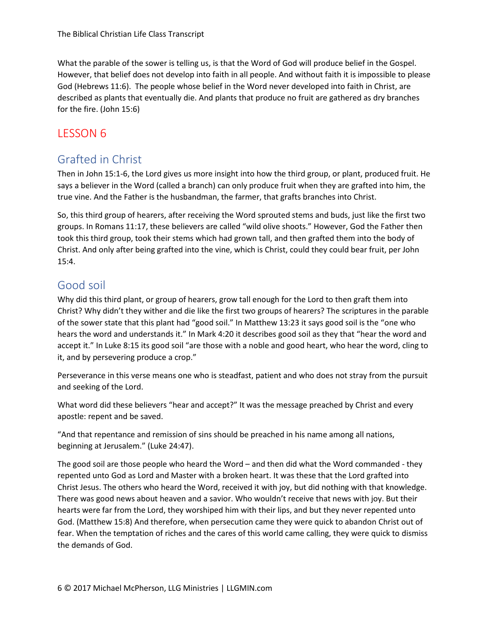What the parable of the sower is telling us, is that the Word of God will produce belief in the Gospel. However, that belief does not develop into faith in all people. And without faith it is impossible to please God (Hebrews 11:6). The people whose belief in the Word never developed into faith in Christ, are described as plants that eventually die. And plants that produce no fruit are gathered as dry branches for the fire. (John 15:6)

## LESSON 6

## Grafted in Christ

Then in John 15:1-6, the Lord gives us more insight into how the third group, or plant, produced fruit. He says a believer in the Word (called a branch) can only produce fruit when they are grafted into him, the true vine. And the Father is the husbandman, the farmer, that grafts branches into Christ.

So, this third group of hearers, after receiving the Word sprouted stems and buds, just like the first two groups. In Romans 11:17, these believers are called "wild olive shoots." However, God the Father then took this third group, took their stems which had grown tall, and then grafted them into the body of Christ. And only after being grafted into the vine, which is Christ, could they could bear fruit, per John 15:4.

## Good soil

Why did this third plant, or group of hearers, grow tall enough for the Lord to then graft them into Christ? Why didn't they wither and die like the first two groups of hearers? The scriptures in the parable of the sower state that this plant had "good soil." In Matthew 13:23 it says good soil is the "one who hears the word and understands it." In Mark 4:20 it describes good soil as they that "hear the word and accept it." In Luke 8:15 its good soil "are those with a noble and good heart, who hear the word, cling to it, and by persevering produce a crop."

Perseverance in this verse means one who is steadfast, patient and who does not stray from the pursuit and seeking of the Lord.

What word did these believers "hear and accept?" It was the message preached by Christ and every apostle: repent and be saved.

"And that repentance and remission of sins should be preached in his name among all nations, beginning at Jerusalem." (Luke 24:47).

The good soil are those people who heard the Word – and then did what the Word commanded - they repented unto God as Lord and Master with a broken heart. It was these that the Lord grafted into Christ Jesus. The others who heard the Word, received it with joy, but did nothing with that knowledge. There was good news about heaven and a savior. Who wouldn't receive that news with joy. But their hearts were far from the Lord, they worshiped him with their lips, and but they never repented unto God. (Matthew 15:8) And therefore, when persecution came they were quick to abandon Christ out of fear. When the temptation of riches and the cares of this world came calling, they were quick to dismiss the demands of God.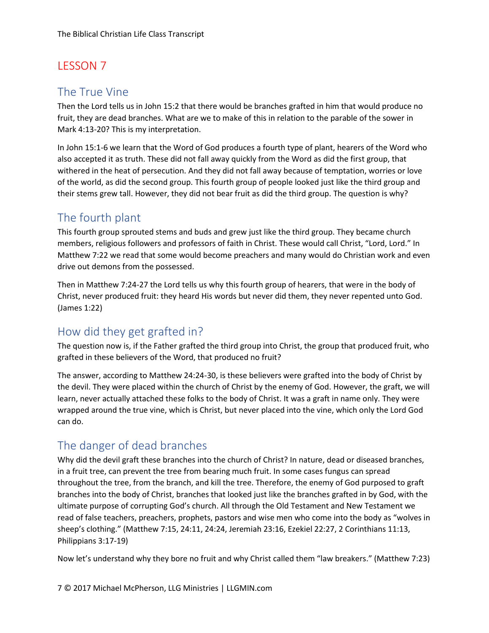#### The True Vine

Then the Lord tells us in John 15:2 that there would be branches grafted in him that would produce no fruit, they are dead branches. What are we to make of this in relation to the parable of the sower in Mark 4:13-20? This is my interpretation.

In John 15:1-6 we learn that the Word of God produces a fourth type of plant, hearers of the Word who also accepted it as truth. These did not fall away quickly from the Word as did the first group, that withered in the heat of persecution. And they did not fall away because of temptation, worries or love of the world, as did the second group. This fourth group of people looked just like the third group and their stems grew tall. However, they did not bear fruit as did the third group. The question is why?

## The fourth plant

This fourth group sprouted stems and buds and grew just like the third group. They became church members, religious followers and professors of faith in Christ. These would call Christ, "Lord, Lord." In Matthew 7:22 we read that some would become preachers and many would do Christian work and even drive out demons from the possessed.

Then in Matthew 7:24-27 the Lord tells us why this fourth group of hearers, that were in the body of Christ, never produced fruit: they heard His words but never did them, they never repented unto God. (James 1:22)

# How did they get grafted in?

The question now is, if the Father grafted the third group into Christ, the group that produced fruit, who grafted in these believers of the Word, that produced no fruit?

The answer, according to Matthew 24:24-30, is these believers were grafted into the body of Christ by the devil. They were placed within the church of Christ by the enemy of God. However, the graft, we will learn, never actually attached these folks to the body of Christ. It was a graft in name only. They were wrapped around the true vine, which is Christ, but never placed into the vine, which only the Lord God can do.

# The danger of dead branches

Why did the devil graft these branches into the church of Christ? In nature, dead or diseased branches, in a fruit tree, can prevent the tree from bearing much fruit. In some cases fungus can spread throughout the tree, from the branch, and kill the tree. Therefore, the enemy of God purposed to graft branches into the body of Christ, branches that looked just like the branches grafted in by God, with the ultimate purpose of corrupting God's church. All through the Old Testament and New Testament we read of false teachers, preachers, prophets, pastors and wise men who come into the body as "wolves in sheep's clothing." (Matthew 7:15, 24:11, 24:24, Jeremiah 23:16, Ezekiel 22:27, 2 Corinthians 11:13, Philippians 3:17-19)

Now let's understand why they bore no fruit and why Christ called them "law breakers." (Matthew 7:23)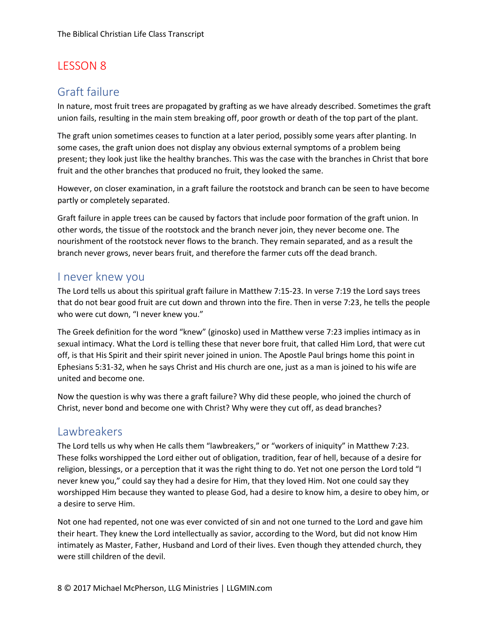### Graft failure

In nature, most fruit trees are propagated by grafting as we have already described. Sometimes the graft union fails, resulting in the main stem breaking off, poor growth or death of the top part of the plant.

The graft union sometimes ceases to function at a later period, possibly some years after planting. In some cases, the graft union does not display any obvious external symptoms of a problem being present; they look just like the healthy branches. This was the case with the branches in Christ that bore fruit and the other branches that produced no fruit, they looked the same.

However, on closer examination, in a graft failure the rootstock and branch can be seen to have become partly or completely separated.

Graft failure in apple trees can be caused by factors that include poor formation of the graft union. In other words, the tissue of the rootstock and the branch never join, they never become one. The nourishment of the rootstock never flows to the branch. They remain separated, and as a result the branch never grows, never bears fruit, and therefore the farmer cuts off the dead branch.

#### I never knew you

The Lord tells us about this spiritual graft failure in Matthew 7:15-23. In verse 7:19 the Lord says trees that do not bear good fruit are cut down and thrown into the fire. Then in verse 7:23, he tells the people who were cut down, "I never knew you."

The Greek definition for the word "knew" (ginosko) used in Matthew verse 7:23 implies intimacy as in sexual intimacy. What the Lord is telling these that never bore fruit, that called Him Lord, that were cut off, is that His Spirit and their spirit never joined in union. The Apostle Paul brings home this point in Ephesians 5:31-32, when he says Christ and His church are one, just as a man is joined to his wife are united and become one.

Now the question is why was there a graft failure? Why did these people, who joined the church of Christ, never bond and become one with Christ? Why were they cut off, as dead branches?

### **Lawbreakers**

The Lord tells us why when He calls them "lawbreakers," or "workers of iniquity" in Matthew 7:23. These folks worshipped the Lord either out of obligation, tradition, fear of hell, because of a desire for religion, blessings, or a perception that it was the right thing to do. Yet not one person the Lord told "I never knew you," could say they had a desire for Him, that they loved Him. Not one could say they worshipped Him because they wanted to please God, had a desire to know him, a desire to obey him, or a desire to serve Him.

Not one had repented, not one was ever convicted of sin and not one turned to the Lord and gave him their heart. They knew the Lord intellectually as savior, according to the Word, but did not know Him intimately as Master, Father, Husband and Lord of their lives. Even though they attended church, they were still children of the devil.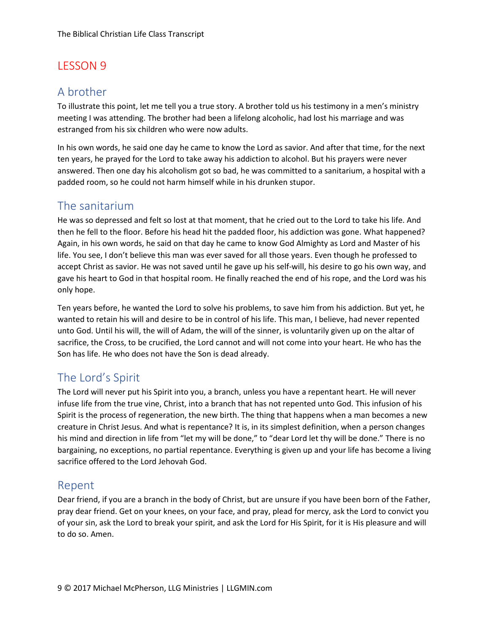### A brother

To illustrate this point, let me tell you a true story. A brother told us his testimony in a men's ministry meeting I was attending. The brother had been a lifelong alcoholic, had lost his marriage and was estranged from his six children who were now adults.

In his own words, he said one day he came to know the Lord as savior. And after that time, for the next ten years, he prayed for the Lord to take away his addiction to alcohol. But his prayers were never answered. Then one day his alcoholism got so bad, he was committed to a sanitarium, a hospital with a padded room, so he could not harm himself while in his drunken stupor.

## The sanitarium

He was so depressed and felt so lost at that moment, that he cried out to the Lord to take his life. And then he fell to the floor. Before his head hit the padded floor, his addiction was gone. What happened? Again, in his own words, he said on that day he came to know God Almighty as Lord and Master of his life. You see, I don't believe this man was ever saved for all those years. Even though he professed to accept Christ as savior. He was not saved until he gave up his self-will, his desire to go his own way, and gave his heart to God in that hospital room. He finally reached the end of his rope, and the Lord was his only hope.

Ten years before, he wanted the Lord to solve his problems, to save him from his addiction. But yet, he wanted to retain his will and desire to be in control of his life. This man, I believe, had never repented unto God. Until his will, the will of Adam, the will of the sinner, is voluntarily given up on the altar of sacrifice, the Cross, to be crucified, the Lord cannot and will not come into your heart. He who has the Son has life. He who does not have the Son is dead already.

## The Lord's Spirit

The Lord will never put his Spirit into you, a branch, unless you have a repentant heart. He will never infuse life from the true vine, Christ, into a branch that has not repented unto God. This infusion of his Spirit is the process of regeneration, the new birth. The thing that happens when a man becomes a new creature in Christ Jesus. And what is repentance? It is, in its simplest definition, when a person changes his mind and direction in life from "let my will be done," to "dear Lord let thy will be done." There is no bargaining, no exceptions, no partial repentance. Everything is given up and your life has become a living sacrifice offered to the Lord Jehovah God.

### Repent

Dear friend, if you are a branch in the body of Christ, but are unsure if you have been born of the Father, pray dear friend. Get on your knees, on your face, and pray, plead for mercy, ask the Lord to convict you of your sin, ask the Lord to break your spirit, and ask the Lord for His Spirit, for it is His pleasure and will to do so. Amen.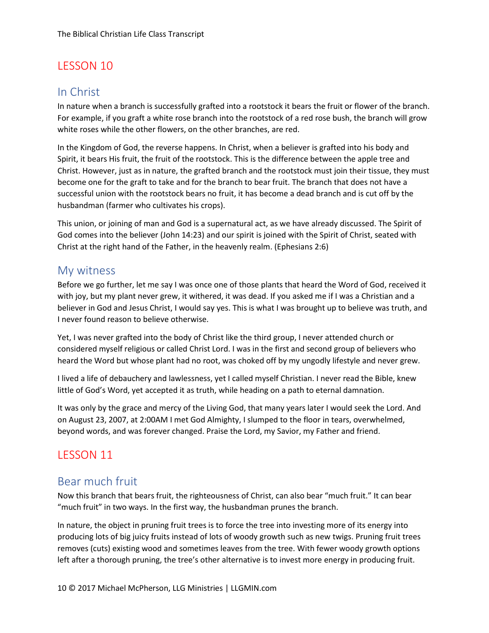## In Christ

In nature when a branch is successfully grafted into a rootstock it bears the fruit or flower of the branch. For example, if you graft a white rose branch into the rootstock of a red rose bush, the branch will grow white roses while the other flowers, on the other branches, are red.

In the Kingdom of God, the reverse happens. In Christ, when a believer is grafted into his body and Spirit, it bears His fruit, the fruit of the rootstock. This is the difference between the apple tree and Christ. However, just as in nature, the grafted branch and the rootstock must join their tissue, they must become one for the graft to take and for the branch to bear fruit. The branch that does not have a successful union with the rootstock bears no fruit, it has become a dead branch and is cut off by the husbandman (farmer who cultivates his crops).

This union, or joining of man and God is a supernatural act, as we have already discussed. The Spirit of God comes into the believer (John 14:23) and our spirit is joined with the Spirit of Christ, seated with Christ at the right hand of the Father, in the heavenly realm. (Ephesians 2:6)

#### My witness

Before we go further, let me say I was once one of those plants that heard the Word of God, received it with joy, but my plant never grew, it withered, it was dead. If you asked me if I was a Christian and a believer in God and Jesus Christ, I would say yes. This is what I was brought up to believe was truth, and I never found reason to believe otherwise.

Yet, I was never grafted into the body of Christ like the third group, I never attended church or considered myself religious or called Christ Lord. I was in the first and second group of believers who heard the Word but whose plant had no root, was choked off by my ungodly lifestyle and never grew.

I lived a life of debauchery and lawlessness, yet I called myself Christian. I never read the Bible, knew little of God's Word, yet accepted it as truth, while heading on a path to eternal damnation.

It was only by the grace and mercy of the Living God, that many years later I would seek the Lord. And on August 23, 2007, at 2:00AM I met God Almighty, I slumped to the floor in tears, overwhelmed, beyond words, and was forever changed. Praise the Lord, my Savior, my Father and friend.

## LESSON 11

### Bear much fruit

Now this branch that bears fruit, the righteousness of Christ, can also bear "much fruit." It can bear "much fruit" in two ways. In the first way, the husbandman prunes the branch.

In nature, the object in pruning fruit trees is to force the tree into investing more of its energy into producing lots of big juicy fruits instead of lots of woody growth such as new twigs. Pruning fruit trees removes (cuts) existing wood and sometimes leaves from the tree. With fewer woody growth options left after a thorough pruning, the tree's other alternative is to invest more energy in producing fruit.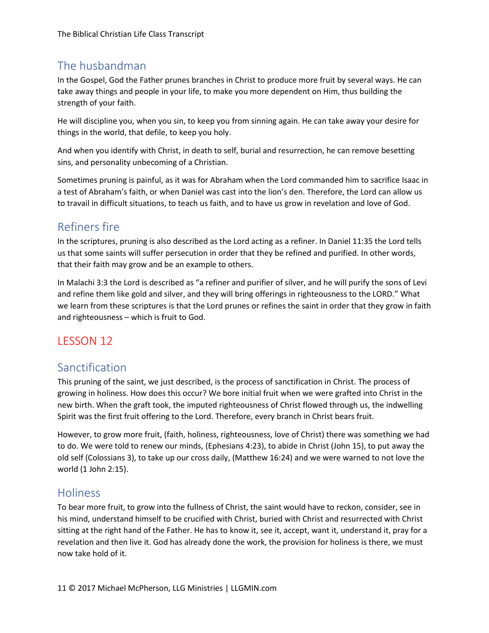# The husbandman

In the Gospel, God the Father prunes branches in Christ to produce more fruit by several ways. He can take away things and people in your life, to make you more dependent on Him, thus building the strength of your faith.

He will discipline you, when you sin, to keep you from sinning again. He can take away your desire for things in the world, that defile, to keep you holy.

And when you identify with Christ, in death to self, burial and resurrection, he can remove besetting sins, and personality unbecoming of a Christian.

Sometimes pruning is painful, as it was for Abraham when the Lord commanded him to sacrifice Isaac in a test of Abraham's faith, or when Daniel was cast into the lion's den. Therefore, the Lord can allow us to travail in difficult situations, to teach us faith, and to have us grow in revelation and love of God.

# Refiners fire

In the scriptures, pruning is also described as the Lord acting as a refiner. In Daniel 11:35 the Lord tells us that some saints will suffer persecution in order that they be refined and purified. In other words, that their faith may grow and be an example to others.

In Malachi 3:3 the Lord is described as "a refiner and purifier of silver, and he will purify the sons of Levi and refine them like gold and silver, and they will bring offerings in righteousness to the LORD." What we learn from these scriptures is that the Lord prunes or refines the saint in order that they grow in faith and righteousness – which is fruit to God.

# LESSON 12

## Sanctification

This pruning of the saint, we just described, is the process of sanctification in Christ. The process of growing in holiness. How does this occur? We bore initial fruit when we were grafted into Christ in the new birth. When the graft took, the imputed righteousness of Christ flowed through us, the indwelling Spirit was the first fruit offering to the Lord. Therefore, every branch in Christ bears fruit.

However, to grow more fruit, (faith, holiness, righteousness, love of Christ) there was something we had to do. We were told to renew our minds, (Ephesians 4:23), to abide in Christ (John 15), to put away the old self (Colossians 3), to take up our cross daily, (Matthew 16:24) and we were warned to not love the world (1 John 2:15).

## Holiness

To bear more fruit, to grow into the fullness of Christ, the saint would have to reckon, consider, see in his mind, understand himself to be crucified with Christ, buried with Christ and resurrected with Christ sitting at the right hand of the Father. He has to know it, see it, accept, want it, understand it, pray for a revelation and then live it. God has already done the work, the provision for holiness is there, we must now take hold of it.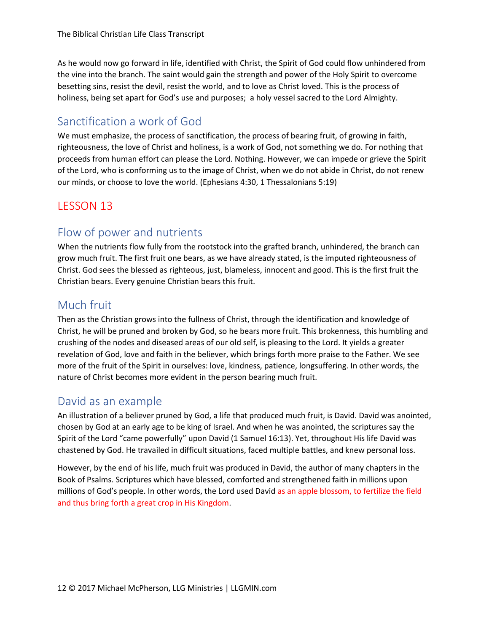As he would now go forward in life, identified with Christ, the Spirit of God could flow unhindered from the vine into the branch. The saint would gain the strength and power of the Holy Spirit to overcome besetting sins, resist the devil, resist the world, and to love as Christ loved. This is the process of holiness, being set apart for God's use and purposes; a holy vessel sacred to the Lord Almighty.

## Sanctification a work of God

We must emphasize, the process of sanctification, the process of bearing fruit, of growing in faith, righteousness, the love of Christ and holiness, is a work of God, not something we do. For nothing that proceeds from human effort can please the Lord. Nothing. However, we can impede or grieve the Spirit of the Lord, who is conforming us to the image of Christ, when we do not abide in Christ, do not renew our minds, or choose to love the world. (Ephesians 4:30, 1 Thessalonians 5:19)

## LESSON 13

# Flow of power and nutrients

When the nutrients flow fully from the rootstock into the grafted branch, unhindered, the branch can grow much fruit. The first fruit one bears, as we have already stated, is the imputed righteousness of Christ. God sees the blessed as righteous, just, blameless, innocent and good. This is the first fruit the Christian bears. Every genuine Christian bears this fruit.

## Much fruit

Then as the Christian grows into the fullness of Christ, through the identification and knowledge of Christ, he will be pruned and broken by God, so he bears more fruit. This brokenness, this humbling and crushing of the nodes and diseased areas of our old self, is pleasing to the Lord. It yields a greater revelation of God, love and faith in the believer, which brings forth more praise to the Father. We see more of the fruit of the Spirit in ourselves: love, kindness, patience, longsuffering. In other words, the nature of Christ becomes more evident in the person bearing much fruit.

## David as an example

An illustration of a believer pruned by God, a life that produced much fruit, is David. David was anointed, chosen by God at an early age to be king of Israel. And when he was anointed, the scriptures say the Spirit of the Lord "came powerfully" upon David (1 Samuel 16:13). Yet, throughout His life David was chastened by God. He travailed in difficult situations, faced multiple battles, and knew personal loss.

However, by the end of his life, much fruit was produced in David, the author of many chapters in the Book of Psalms. Scriptures which have blessed, comforted and strengthened faith in millions upon millions of God's people. In other words, the Lord used David as an apple blossom, to fertilize the field and thus bring forth a great crop in His Kingdom.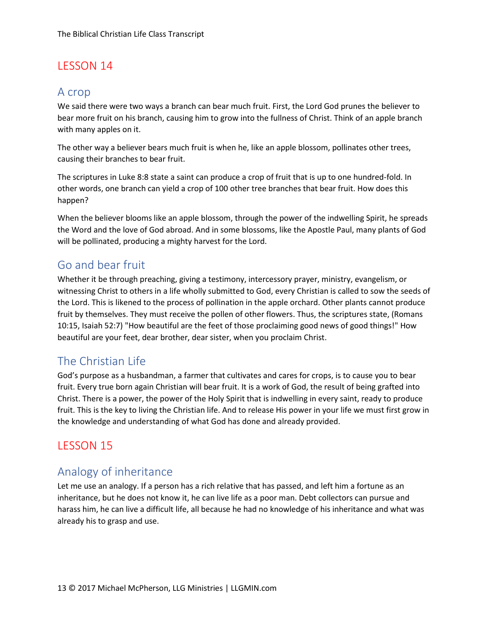#### A crop

We said there were two ways a branch can bear much fruit. First, the Lord God prunes the believer to bear more fruit on his branch, causing him to grow into the fullness of Christ. Think of an apple branch with many apples on it.

The other way a believer bears much fruit is when he, like an apple blossom, pollinates other trees, causing their branches to bear fruit.

The scriptures in Luke 8:8 state a saint can produce a crop of fruit that is up to one hundred-fold. In other words, one branch can yield a crop of 100 other tree branches that bear fruit. How does this happen?

When the believer blooms like an apple blossom, through the power of the indwelling Spirit, he spreads the Word and the love of God abroad. And in some blossoms, like the Apostle Paul, many plants of God will be pollinated, producing a mighty harvest for the Lord.

### Go and bear fruit

Whether it be through preaching, giving a testimony, intercessory prayer, ministry, evangelism, or witnessing Christ to others in a life wholly submitted to God, every Christian is called to sow the seeds of the Lord. This is likened to the process of pollination in the apple orchard. Other plants cannot produce fruit by themselves. They must receive the pollen of other flowers. Thus, the scriptures state, (Romans 10:15, Isaiah 52:7) "How beautiful are the feet of those proclaiming good news of good things!" How beautiful are your feet, dear brother, dear sister, when you proclaim Christ.

# The Christian Life

God's purpose as a husbandman, a farmer that cultivates and cares for crops, is to cause you to bear fruit. Every true born again Christian will bear fruit. It is a work of God, the result of being grafted into Christ. There is a power, the power of the Holy Spirit that is indwelling in every saint, ready to produce fruit. This is the key to living the Christian life. And to release His power in your life we must first grow in the knowledge and understanding of what God has done and already provided.

## LESSON 15

## Analogy of inheritance

Let me use an analogy. If a person has a rich relative that has passed, and left him a fortune as an inheritance, but he does not know it, he can live life as a poor man. Debt collectors can pursue and harass him, he can live a difficult life, all because he had no knowledge of his inheritance and what was already his to grasp and use.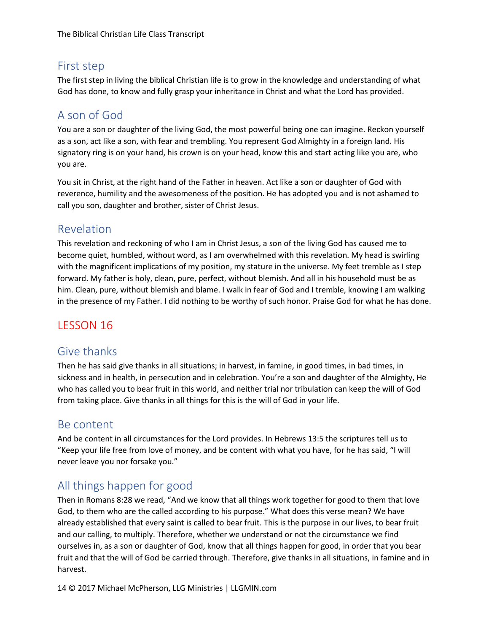# First step

The first step in living the biblical Christian life is to grow in the knowledge and understanding of what God has done, to know and fully grasp your inheritance in Christ and what the Lord has provided.

# A son of God

You are a son or daughter of the living God, the most powerful being one can imagine. Reckon yourself as a son, act like a son, with fear and trembling. You represent God Almighty in a foreign land. His signatory ring is on your hand, his crown is on your head, know this and start acting like you are, who you are.

You sit in Christ, at the right hand of the Father in heaven. Act like a son or daughter of God with reverence, humility and the awesomeness of the position. He has adopted you and is not ashamed to call you son, daughter and brother, sister of Christ Jesus.

## Revelation

This revelation and reckoning of who I am in Christ Jesus, a son of the living God has caused me to become quiet, humbled, without word, as I am overwhelmed with this revelation. My head is swirling with the magnificent implications of my position, my stature in the universe. My feet tremble as I step forward. My father is holy, clean, pure, perfect, without blemish. And all in his household must be as him. Clean, pure, without blemish and blame. I walk in fear of God and I tremble, knowing I am walking in the presence of my Father. I did nothing to be worthy of such honor. Praise God for what he has done.

# LESSON 16

### Give thanks

Then he has said give thanks in all situations; in harvest, in famine, in good times, in bad times, in sickness and in health, in persecution and in celebration. You're a son and daughter of the Almighty, He who has called you to bear fruit in this world, and neither trial nor tribulation can keep the will of God from taking place. Give thanks in all things for this is the will of God in your life.

### Be content

And be content in all circumstances for the Lord provides. In Hebrews 13:5 the scriptures tell us to "Keep your life free from love of money, and be content with what you have, for he has said, "I will never leave you nor forsake you."

# All things happen for good

Then in Romans 8:28 we read, "And we know that all things work together for good to them that love God, to them who are the called according to his purpose." What does this verse mean? We have already established that every saint is called to bear fruit. This is the purpose in our lives, to bear fruit and our calling, to multiply. Therefore, whether we understand or not the circumstance we find ourselves in, as a son or daughter of God, know that all things happen for good, in order that you bear fruit and that the will of God be carried through. Therefore, give thanks in all situations, in famine and in harvest.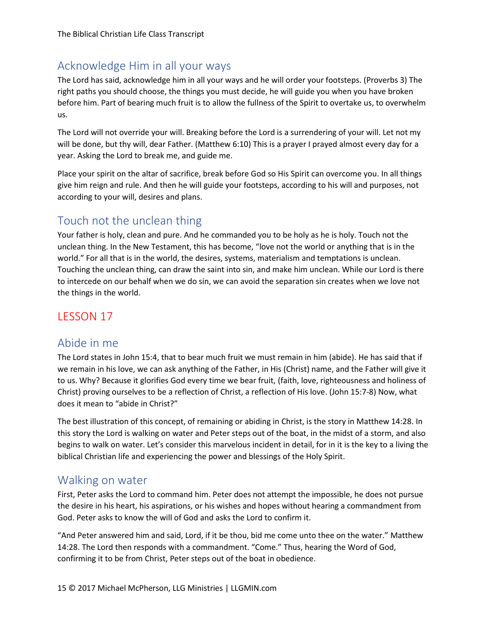# Acknowledge Him in all your ways

The Lord has said, acknowledge him in all your ways and he will order your footsteps. (Proverbs 3) The right paths you should choose, the things you must decide, he will guide you when you have broken before him. Part of bearing much fruit is to allow the fullness of the Spirit to overtake us, to overwhelm us.

The Lord will not override your will. Breaking before the Lord is a surrendering of your will. Let not my will be done, but thy will, dear Father. (Matthew 6:10) This is a prayer I prayed almost every day for a year. Asking the Lord to break me, and guide me.

Place your spirit on the altar of sacrifice, break before God so His Spirit can overcome you. In all things give him reign and rule. And then he will guide your footsteps, according to his will and purposes, not according to your will, desires and plans.

## Touch not the unclean thing

Your father is holy, clean and pure. And he commanded you to be holy as he is holy. Touch not the unclean thing. In the New Testament, this has become, "love not the world or anything that is in the world." For all that is in the world, the desires, systems, materialism and temptations is unclean. Touching the unclean thing, can draw the saint into sin, and make him unclean. While our Lord is there to intercede on our behalf when we do sin, we can avoid the separation sin creates when we love not the things in the world.

## LESSON 17

#### Abide in me

The Lord states in John 15:4, that to bear much fruit we must remain in him (abide). He has said that if we remain in his love, we can ask anything of the Father, in His (Christ) name, and the Father will give it to us. Why? Because it glorifies God every time we bear fruit, (faith, love, righteousness and holiness of Christ) proving ourselves to be a reflection of Christ, a reflection of His love. (John 15:7-8) Now, what does it mean to "abide in Christ?"

The best illustration of this concept, of remaining or abiding in Christ, is the story in Matthew 14:28. In this story the Lord is walking on water and Peter steps out of the boat, in the midst of a storm, and also begins to walk on water. Let's consider this marvelous incident in detail, for in it is the key to a living the biblical Christian life and experiencing the power and blessings of the Holy Spirit.

### Walking on water

First, Peter asks the Lord to command him. Peter does not attempt the impossible, he does not pursue the desire in his heart, his aspirations, or his wishes and hopes without hearing a commandment from God. Peter asks to know the will of God and asks the Lord to confirm it.

"And Peter answered him and said, Lord, if it be thou, bid me come unto thee on the water." Matthew 14:28. The Lord then responds with a commandment. "Come." Thus, hearing the Word of God, confirming it to be from Christ, Peter steps out of the boat in obedience.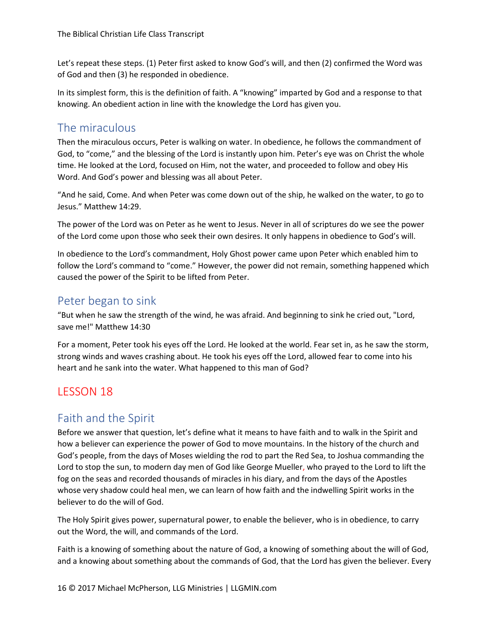Let's repeat these steps. (1) Peter first asked to know God's will, and then (2) confirmed the Word was of God and then (3) he responded in obedience.

In its simplest form, this is the definition of faith. A "knowing" imparted by God and a response to that knowing. An obedient action in line with the knowledge the Lord has given you.

## The miraculous

Then the miraculous occurs, Peter is walking on water. In obedience, he follows the commandment of God, to "come," and the blessing of the Lord is instantly upon him. Peter's eye was on Christ the whole time. He looked at the Lord, focused on Him, not the water, and proceeded to follow and obey His Word. And God's power and blessing was all about Peter.

"And he said, Come. And when Peter was come down out of the ship, he walked on the water, to go to Jesus." Matthew 14:29.

The power of the Lord was on Peter as he went to Jesus. Never in all of scriptures do we see the power of the Lord come upon those who seek their own desires. It only happens in obedience to God's will.

In obedience to the Lord's commandment, Holy Ghost power came upon Peter which enabled him to follow the Lord's command to "come." However, the power did not remain, something happened which caused the power of the Spirit to be lifted from Peter.

### Peter began to sink

"But when he saw the strength of the wind, he was afraid. And beginning to sink he cried out, "Lord, save me!" Matthew 14:30

For a moment, Peter took his eyes off the Lord. He looked at the world. Fear set in, as he saw the storm, strong winds and waves crashing about. He took his eyes off the Lord, allowed fear to come into his heart and he sank into the water. What happened to this man of God?

# LESSON 18

## Faith and the Spirit

Before we answer that question, let's define what it means to have faith and to walk in the Spirit and how a believer can experience the power of God to move mountains. In the history of the church and God's people, from the days of Moses wielding the rod to part the Red Sea, to Joshua commanding the Lord to stop the sun, to modern day men of God like George Mueller, who prayed to the Lord to lift the fog on the seas and recorded thousands of miracles in his diary, and from the days of the Apostles whose very shadow could heal men, we can learn of how faith and the indwelling Spirit works in the believer to do the will of God.

The Holy Spirit gives power, supernatural power, to enable the believer, who is in obedience, to carry out the Word, the will, and commands of the Lord.

Faith is a knowing of something about the nature of God, a knowing of something about the will of God, and a knowing about something about the commands of God, that the Lord has given the believer. Every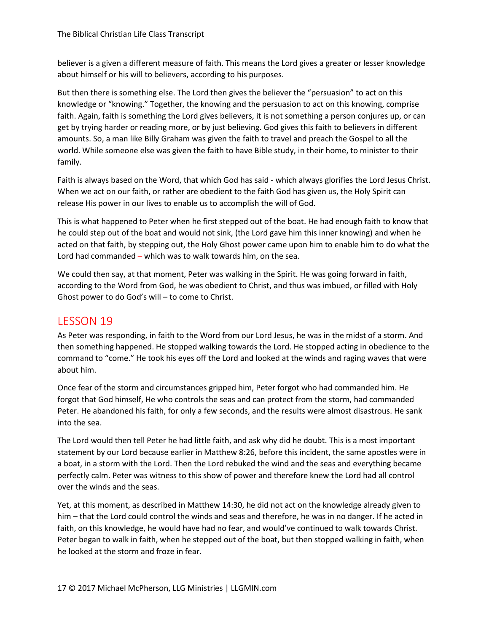believer is a given a different measure of faith. This means the Lord gives a greater or lesser knowledge about himself or his will to believers, according to his purposes.

But then there is something else. The Lord then gives the believer the "persuasion" to act on this knowledge or "knowing." Together, the knowing and the persuasion to act on this knowing, comprise faith. Again, faith is something the Lord gives believers, it is not something a person conjures up, or can get by trying harder or reading more, or by just believing. God gives this faith to believers in different amounts. So, a man like Billy Graham was given the faith to travel and preach the Gospel to all the world. While someone else was given the faith to have Bible study, in their home, to minister to their family.

Faith is always based on the Word, that which God has said - which always glorifies the Lord Jesus Christ. When we act on our faith, or rather are obedient to the faith God has given us, the Holy Spirit can release His power in our lives to enable us to accomplish the will of God.

This is what happened to Peter when he first stepped out of the boat. He had enough faith to know that he could step out of the boat and would not sink, (the Lord gave him this inner knowing) and when he acted on that faith, by stepping out, the Holy Ghost power came upon him to enable him to do what the Lord had commanded – which was to walk towards him, on the sea.

We could then say, at that moment, Peter was walking in the Spirit. He was going forward in faith, according to the Word from God, he was obedient to Christ, and thus was imbued, or filled with Holy Ghost power to do God's will – to come to Christ.

#### LESSON 19

As Peter was responding, in faith to the Word from our Lord Jesus, he was in the midst of a storm. And then something happened. He stopped walking towards the Lord. He stopped acting in obedience to the command to "come." He took his eyes off the Lord and looked at the winds and raging waves that were about him.

Once fear of the storm and circumstances gripped him, Peter forgot who had commanded him. He forgot that God himself, He who controls the seas and can protect from the storm, had commanded Peter. He abandoned his faith, for only a few seconds, and the results were almost disastrous. He sank into the sea.

The Lord would then tell Peter he had little faith, and ask why did he doubt. This is a most important statement by our Lord because earlier in Matthew 8:26, before this incident, the same apostles were in a boat, in a storm with the Lord. Then the Lord rebuked the wind and the seas and everything became perfectly calm. Peter was witness to this show of power and therefore knew the Lord had all control over the winds and the seas.

Yet, at this moment, as described in Matthew 14:30, he did not act on the knowledge already given to him – that the Lord could control the winds and seas and therefore, he was in no danger. If he acted in faith, on this knowledge, he would have had no fear, and would've continued to walk towards Christ. Peter began to walk in faith, when he stepped out of the boat, but then stopped walking in faith, when he looked at the storm and froze in fear.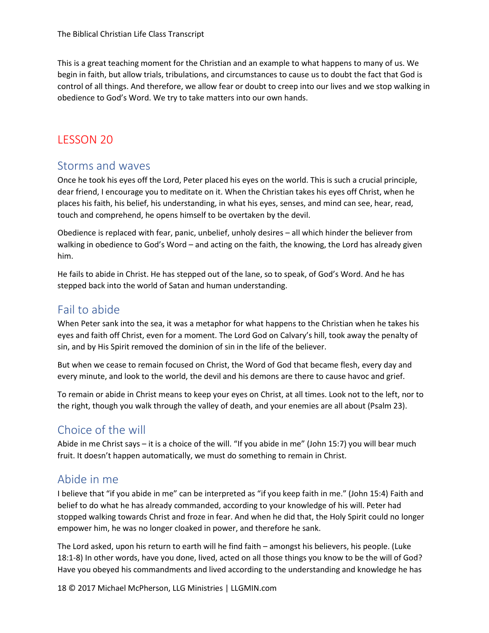This is a great teaching moment for the Christian and an example to what happens to many of us. We begin in faith, but allow trials, tribulations, and circumstances to cause us to doubt the fact that God is control of all things. And therefore, we allow fear or doubt to creep into our lives and we stop walking in obedience to God's Word. We try to take matters into our own hands.

## LESSON 20

#### Storms and waves

Once he took his eyes off the Lord, Peter placed his eyes on the world. This is such a crucial principle, dear friend, I encourage you to meditate on it. When the Christian takes his eyes off Christ, when he places his faith, his belief, his understanding, in what his eyes, senses, and mind can see, hear, read, touch and comprehend, he opens himself to be overtaken by the devil.

Obedience is replaced with fear, panic, unbelief, unholy desires – all which hinder the believer from walking in obedience to God's Word – and acting on the faith, the knowing, the Lord has already given him.

He fails to abide in Christ. He has stepped out of the lane, so to speak, of God's Word. And he has stepped back into the world of Satan and human understanding.

# Fail to abide

When Peter sank into the sea, it was a metaphor for what happens to the Christian when he takes his eyes and faith off Christ, even for a moment. The Lord God on Calvary's hill, took away the penalty of sin, and by His Spirit removed the dominion of sin in the life of the believer.

But when we cease to remain focused on Christ, the Word of God that became flesh, every day and every minute, and look to the world, the devil and his demons are there to cause havoc and grief.

To remain or abide in Christ means to keep your eyes on Christ, at all times. Look not to the left, nor to the right, though you walk through the valley of death, and your enemies are all about (Psalm 23).

# Choice of the will

Abide in me Christ says – it is a choice of the will. "If you abide in me" (John 15:7) you will bear much fruit. It doesn't happen automatically, we must do something to remain in Christ.

## Abide in me

I believe that "if you abide in me" can be interpreted as "if you keep faith in me." (John 15:4) Faith and belief to do what he has already commanded, according to your knowledge of his will. Peter had stopped walking towards Christ and froze in fear. And when he did that, the Holy Spirit could no longer empower him, he was no longer cloaked in power, and therefore he sank.

The Lord asked, upon his return to earth will he find faith – amongst his believers, his people. (Luke 18:1-8) In other words, have you done, lived, acted on all those things you know to be the will of God? Have you obeyed his commandments and lived according to the understanding and knowledge he has

18 © 2017 Michael McPherson, LLG Ministries | LLGMIN.com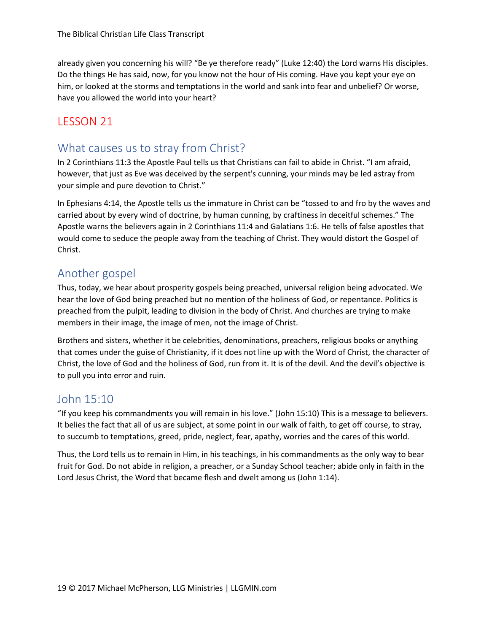already given you concerning his will? "Be ye therefore ready" (Luke 12:40) the Lord warns His disciples. Do the things He has said, now, for you know not the hour of His coming. Have you kept your eye on him, or looked at the storms and temptations in the world and sank into fear and unbelief? Or worse, have you allowed the world into your heart?

# LESSON 21

## What causes us to stray from Christ?

In 2 Corinthians 11:3 the Apostle Paul tells us that Christians can fail to abide in Christ. "I am afraid, however, that just as Eve was deceived by the serpent's cunning, your minds may be led astray from your simple and pure devotion to Christ."

In Ephesians 4:14, the Apostle tells us the immature in Christ can be "tossed to and fro by the waves and carried about by every wind of doctrine, by human cunning, by craftiness in deceitful schemes." The Apostle warns the believers again in 2 Corinthians 11:4 and Galatians 1:6. He tells of false apostles that would come to seduce the people away from the teaching of Christ. They would distort the Gospel of Christ.

## Another gospel

Thus, today, we hear about prosperity gospels being preached, universal religion being advocated. We hear the love of God being preached but no mention of the holiness of God, or repentance. Politics is preached from the pulpit, leading to division in the body of Christ. And churches are trying to make members in their image, the image of men, not the image of Christ.

Brothers and sisters, whether it be celebrities, denominations, preachers, religious books or anything that comes under the guise of Christianity, if it does not line up with the Word of Christ, the character of Christ, the love of God and the holiness of God, run from it. It is of the devil. And the devil's objective is to pull you into error and ruin.

## John 15:10

"If you keep his commandments you will remain in his love." (John 15:10) This is a message to believers. It belies the fact that all of us are subject, at some point in our walk of faith, to get off course, to stray, to succumb to temptations, greed, pride, neglect, fear, apathy, worries and the cares of this world.

Thus, the Lord tells us to remain in Him, in his teachings, in his commandments as the only way to bear fruit for God. Do not abide in religion, a preacher, or a Sunday School teacher; abide only in faith in the Lord Jesus Christ, the Word that became flesh and dwelt among us (John 1:14).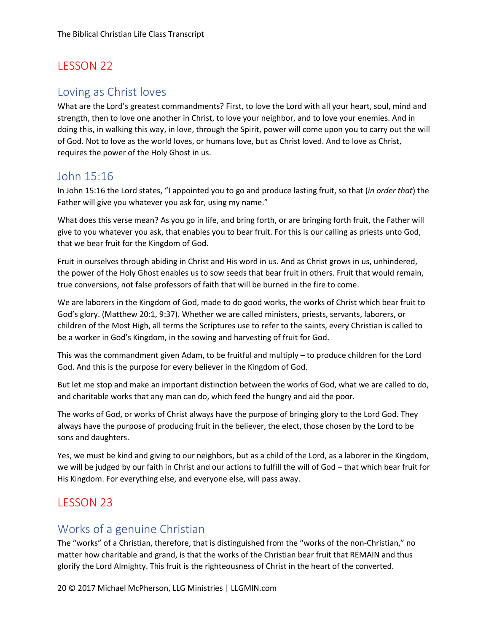#### Loving as Christ loves

What are the Lord's greatest commandments? First, to love the Lord with all your heart, soul, mind and strength, then to love one another in Christ, to love your neighbor, and to love your enemies. And in doing this, in walking this way, in love, through the Spirit, power will come upon you to carry out the will of God. Not to love as the world loves, or humans love, but as Christ loved. And to love as Christ, requires the power of the Holy Ghost in us.

## John 15:16

In John 15:16 the Lord states, "I appointed you to go and produce lasting fruit, so that (*in order that*) the Father will give you whatever you ask for, using my name."

What does this verse mean? As you go in life, and bring forth, or are bringing forth fruit, the Father will give to you whatever you ask, that enables you to bear fruit. For this is our calling as priests unto God, that we bear fruit for the Kingdom of God.

Fruit in ourselves through abiding in Christ and His word in us. And as Christ grows in us, unhindered, the power of the Holy Ghost enables us to sow seeds that bear fruit in others. Fruit that would remain, true conversions, not false professors of faith that will be burned in the fire to come.

We are laborers in the Kingdom of God, made to do good works, the works of Christ which bear fruit to God's glory. (Matthew 20:1, 9:37). Whether we are called ministers, priests, servants, laborers, or children of the Most High, all terms the Scriptures use to refer to the saints, every Christian is called to be a worker in God's Kingdom, in the sowing and harvesting of fruit for God.

This was the commandment given Adam, to be fruitful and multiply – to produce children for the Lord God. And this is the purpose for every believer in the Kingdom of God.

But let me stop and make an important distinction between the works of God, what we are called to do, and charitable works that any man can do, which feed the hungry and aid the poor.

The works of God, or works of Christ always have the purpose of bringing glory to the Lord God. They always have the purpose of producing fruit in the believer, the elect, those chosen by the Lord to be sons and daughters.

Yes, we must be kind and giving to our neighbors, but as a child of the Lord, as a laborer in the Kingdom, we will be judged by our faith in Christ and our actions to fulfill the will of God – that which bear fruit for His Kingdom. For everything else, and everyone else, will pass away.

## LESSON 23

## Works of a genuine Christian

The "works" of a Christian, therefore, that is distinguished from the "works of the non-Christian," no matter how charitable and grand, is that the works of the Christian bear fruit that REMAIN and thus glorify the Lord Almighty. This fruit is the righteousness of Christ in the heart of the converted.

20 © 2017 Michael McPherson, LLG Ministries | LLGMIN.com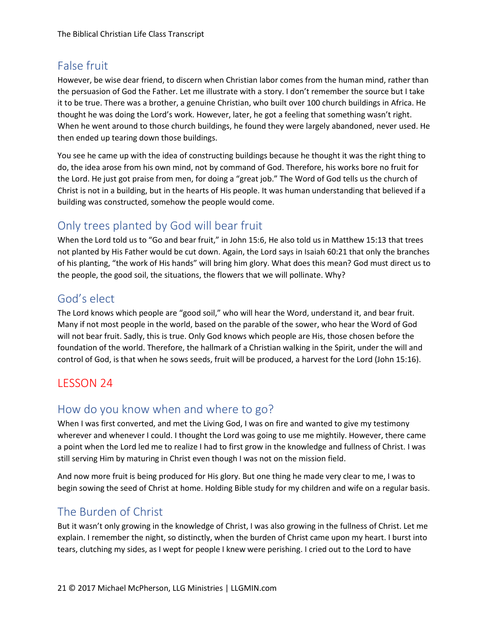# False fruit

However, be wise dear friend, to discern when Christian labor comes from the human mind, rather than the persuasion of God the Father. Let me illustrate with a story. I don't remember the source but I take it to be true. There was a brother, a genuine Christian, who built over 100 church buildings in Africa. He thought he was doing the Lord's work. However, later, he got a feeling that something wasn't right. When he went around to those church buildings, he found they were largely abandoned, never used. He then ended up tearing down those buildings.

You see he came up with the idea of constructing buildings because he thought it was the right thing to do, the idea arose from his own mind, not by command of God. Therefore, his works bore no fruit for the Lord. He just got praise from men, for doing a "great job." The Word of God tells us the church of Christ is not in a building, but in the hearts of His people. It was human understanding that believed if a building was constructed, somehow the people would come.

# Only trees planted by God will bear fruit

When the Lord told us to "Go and bear fruit," in John 15:6, He also told us in Matthew 15:13 that trees not planted by His Father would be cut down. Again, the Lord says in Isaiah 60:21 that only the branches of his planting, "the work of His hands" will bring him glory. What does this mean? God must direct us to the people, the good soil, the situations, the flowers that we will pollinate. Why?

## God's elect

The Lord knows which people are "good soil," who will hear the Word, understand it, and bear fruit. Many if not most people in the world, based on the parable of the sower, who hear the Word of God will not bear fruit. Sadly, this is true. Only God knows which people are His, those chosen before the foundation of the world. Therefore, the hallmark of a Christian walking in the Spirit, under the will and control of God, is that when he sows seeds, fruit will be produced, a harvest for the Lord (John 15:16).

# LESSON 24

# How do you know when and where to go?

When I was first converted, and met the Living God, I was on fire and wanted to give my testimony wherever and whenever I could. I thought the Lord was going to use me mightily. However, there came a point when the Lord led me to realize I had to first grow in the knowledge and fullness of Christ. I was still serving Him by maturing in Christ even though I was not on the mission field.

And now more fruit is being produced for His glory. But one thing he made very clear to me, I was to begin sowing the seed of Christ at home. Holding Bible study for my children and wife on a regular basis.

## The Burden of Christ

But it wasn't only growing in the knowledge of Christ, I was also growing in the fullness of Christ. Let me explain. I remember the night, so distinctly, when the burden of Christ came upon my heart. I burst into tears, clutching my sides, as I wept for people I knew were perishing. I cried out to the Lord to have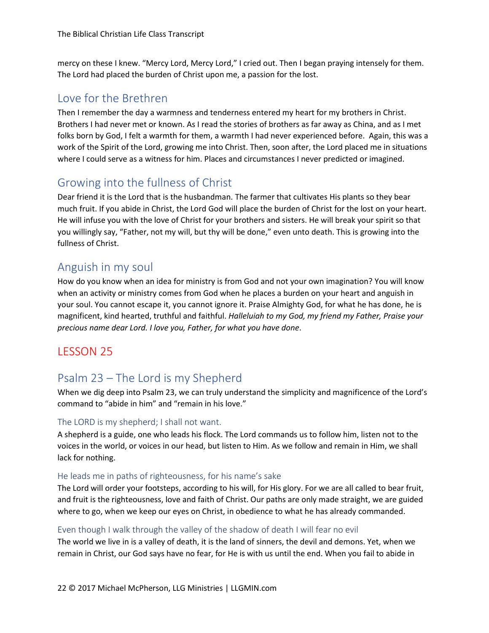mercy on these I knew. "Mercy Lord, Mercy Lord," I cried out. Then I began praying intensely for them. The Lord had placed the burden of Christ upon me, a passion for the lost.

## Love for the Brethren

Then I remember the day a warmness and tenderness entered my heart for my brothers in Christ. Brothers I had never met or known. As I read the stories of brothers as far away as China, and as I met folks born by God, I felt a warmth for them, a warmth I had never experienced before. Again, this was a work of the Spirit of the Lord, growing me into Christ. Then, soon after, the Lord placed me in situations where I could serve as a witness for him. Places and circumstances I never predicted or imagined.

## Growing into the fullness of Christ

Dear friend it is the Lord that is the husbandman. The farmer that cultivates His plants so they bear much fruit. If you abide in Christ, the Lord God will place the burden of Christ for the lost on your heart. He will infuse you with the love of Christ for your brothers and sisters. He will break your spirit so that you willingly say, "Father, not my will, but thy will be done," even unto death. This is growing into the fullness of Christ.

## Anguish in my soul

How do you know when an idea for ministry is from God and not your own imagination? You will know when an activity or ministry comes from God when he places a burden on your heart and anguish in your soul. You cannot escape it, you cannot ignore it. Praise Almighty God, for what he has done, he is magnificent, kind hearted, truthful and faithful. *Halleluiah to my God, my friend my Father, Praise your precious name dear Lord. I love you, Father, for what you have done*.

### LESSON 25

## Psalm 23 – The Lord is my Shepherd

When we dig deep into Psalm 23, we can truly understand the simplicity and magnificence of the Lord's command to "abide in him" and "remain in his love."

#### The LORD is my shepherd; I shall not want.

A shepherd is a guide, one who leads his flock. The Lord commands us to follow him, listen not to the voices in the world, or voices in our head, but listen to Him. As we follow and remain in Him, we shall lack for nothing.

#### He leads me in paths of righteousness, for his name's sake

The Lord will order your footsteps, according to his will, for His glory. For we are all called to bear fruit, and fruit is the righteousness, love and faith of Christ. Our paths are only made straight, we are guided where to go, when we keep our eyes on Christ, in obedience to what he has already commanded.

#### Even though I walk through the valley of the shadow of death I will fear no evil

The world we live in is a valley of death, it is the land of sinners, the devil and demons. Yet, when we remain in Christ, our God says have no fear, for He is with us until the end. When you fail to abide in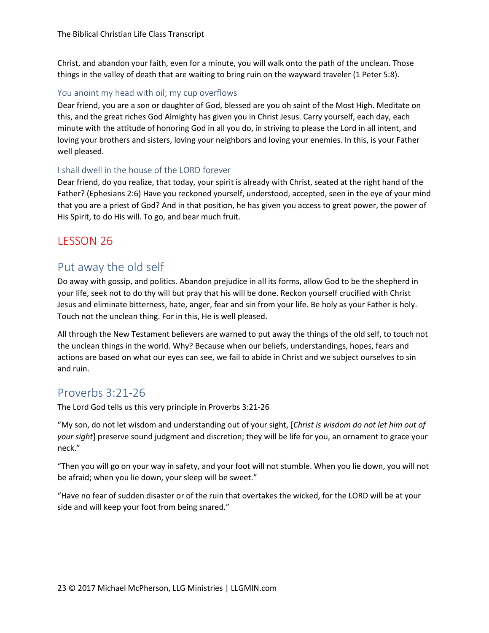Christ, and abandon your faith, even for a minute, you will walk onto the path of the unclean. Those things in the valley of death that are waiting to bring ruin on the wayward traveler (1 Peter 5:8).

#### You anoint my head with oil; my cup overflows

Dear friend, you are a son or daughter of God, blessed are you oh saint of the Most High. Meditate on this, and the great riches God Almighty has given you in Christ Jesus. Carry yourself, each day, each minute with the attitude of honoring God in all you do, in striving to please the Lord in all intent, and loving your brothers and sisters, loving your neighbors and loving your enemies. In this, is your Father well pleased.

#### I shall dwell in the house of the LORD forever

Dear friend, do you realize, that today, your spirit is already with Christ, seated at the right hand of the Father? (Ephesians 2:6) Have you reckoned yourself, understood, accepted, seen in the eye of your mind that you are a priest of God? And in that position, he has given you access to great power, the power of His Spirit, to do His will. To go, and bear much fruit.

## LESSON 26

## Put away the old self

Do away with gossip, and politics. Abandon prejudice in all its forms, allow God to be the shepherd in your life, seek not to do thy will but pray that his will be done. Reckon yourself crucified with Christ Jesus and eliminate bitterness, hate, anger, fear and sin from your life. Be holy as your Father is holy. Touch not the unclean thing. For in this, He is well pleased.

All through the New Testament believers are warned to put away the things of the old self, to touch not the unclean things in the world. Why? Because when our beliefs, understandings, hopes, fears and actions are based on what our eyes can see, we fail to abide in Christ and we subject ourselves to sin and ruin.

### Proverbs 3:21-26

The Lord God tells us this very principle in Proverbs 3:21-26

"My son, do not let wisdom and understanding out of your sight, [*Christ is wisdom do not let him out of your sight*] preserve sound judgment and discretion; they will be life for you, an ornament to grace your neck."

"Then you will go on your way in safety, and your foot will not stumble. When you lie down, you will not be afraid; when you lie down, your sleep will be sweet."

"Have no fear of sudden disaster or of the ruin that overtakes the wicked, for the LORD will be at your side and will keep your foot from being snared."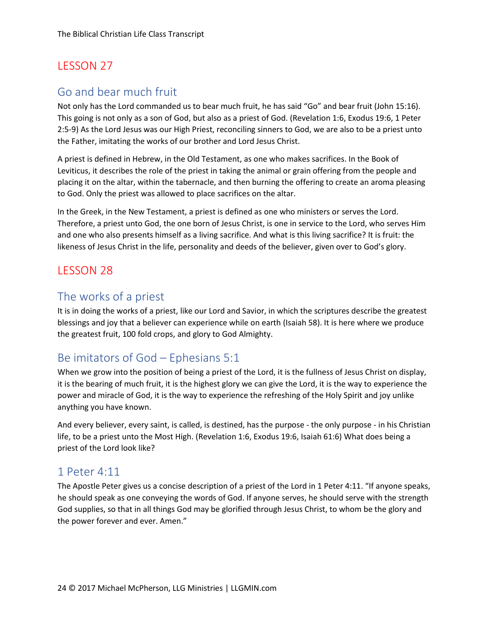## Go and bear much fruit

Not only has the Lord commanded us to bear much fruit, he has said "Go" and bear fruit (John 15:16). This going is not only as a son of God, but also as a priest of God. (Revelation 1:6, Exodus 19:6, 1 Peter 2:5-9) As the Lord Jesus was our High Priest, reconciling sinners to God, we are also to be a priest unto the Father, imitating the works of our brother and Lord Jesus Christ.

A priest is defined in Hebrew, in the Old Testament, as one who makes sacrifices. In the Book of Leviticus, it describes the role of the priest in taking the animal or grain offering from the people and placing it on the altar, within the tabernacle, and then burning the offering to create an aroma pleasing to God. Only the priest was allowed to place sacrifices on the altar.

In the Greek, in the New Testament, a priest is defined as one who ministers or serves the Lord. Therefore, a priest unto God, the one born of Jesus Christ, is one in service to the Lord, who serves Him and one who also presents himself as a living sacrifice. And what is this living sacrifice? It is fruit: the likeness of Jesus Christ in the life, personality and deeds of the believer, given over to God's glory.

## LESSON 28

## The works of a priest

It is in doing the works of a priest, like our Lord and Savior, in which the scriptures describe the greatest blessings and joy that a believer can experience while on earth (Isaiah 58). It is here where we produce the greatest fruit, 100 fold crops, and glory to God Almighty.

## Be imitators of God – Ephesians 5:1

When we grow into the position of being a priest of the Lord, it is the fullness of Jesus Christ on display, it is the bearing of much fruit, it is the highest glory we can give the Lord, it is the way to experience the power and miracle of God, it is the way to experience the refreshing of the Holy Spirit and joy unlike anything you have known.

And every believer, every saint, is called, is destined, has the purpose - the only purpose - in his Christian life, to be a priest unto the Most High. (Revelation 1:6, Exodus 19:6, Isaiah 61:6) What does being a priest of the Lord look like?

## 1 Peter 4:11

The Apostle Peter gives us a concise description of a priest of the Lord in 1 Peter 4:11. "If anyone speaks, he should speak as one conveying the words of God. If anyone serves, he should serve with the strength God supplies, so that in all things God may be glorified through Jesus Christ, to whom be the glory and the power forever and ever. Amen."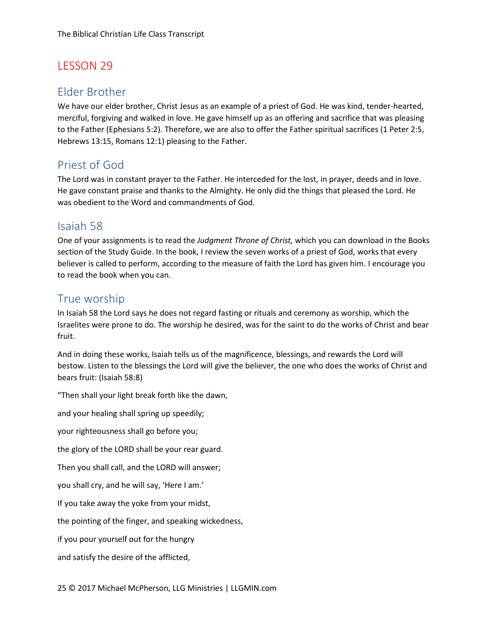#### Elder Brother

We have our elder brother, Christ Jesus as an example of a priest of God. He was kind, tender-hearted, merciful, forgiving and walked in love. He gave himself up as an offering and sacrifice that was pleasing to the Father (Ephesians 5:2). Therefore, we are also to offer the Father spiritual sacrifices (1 Peter 2:5, Hebrews 13:15, Romans 12:1) pleasing to the Father.

## Priest of God

The Lord was in constant prayer to the Father. He interceded for the lost, in prayer, deeds and in love. He gave constant praise and thanks to the Almighty. He only did the things that pleased the Lord. He was obedient to the Word and commandments of God.

### Isaiah 58

One of your assignments is to read the *Judgment Throne of Christ,* which you can download in the Books section of the Study Guide. In the book, I review the seven works of a priest of God, works that every believer is called to perform, according to the measure of faith the Lord has given him. I encourage you to read the book when you can.

## True worship

In Isaiah 58 the Lord says he does not regard fasting or rituals and ceremony as worship, which the Israelites were prone to do. The worship he desired, was for the saint to do the works of Christ and bear fruit.

And in doing these works, Isaiah tells us of the magnificence, blessings, and rewards the Lord will bestow. Listen to the blessings the Lord will give the believer, the one who does the works of Christ and bears fruit: (Isaiah 58:8)

"Then shall your light break forth like the dawn,

and your healing shall spring up speedily;

your righteousness shall go before you;

the glory of the LORD shall be your rear guard.

Then you shall call, and the LORD will answer;

you shall cry, and he will say, 'Here I am.'

If you take away the yoke from your midst,

the pointing of the finger, and speaking wickedness,

if you pour yourself out for the hungry

and satisfy the desire of the afflicted,

25 © 2017 Michael McPherson, LLG Ministries | LLGMIN.com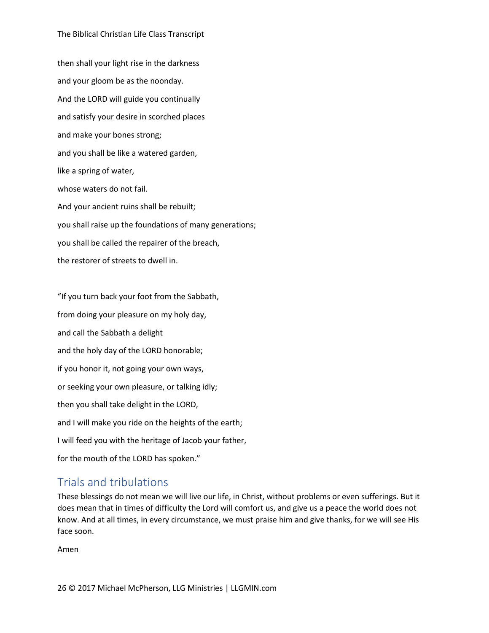#### The Biblical Christian Life Class Transcript

then shall your light rise in the darkness and your gloom be as the noonday. And the LORD will guide you continually and satisfy your desire in scorched places and make your bones strong; and you shall be like a watered garden, like a spring of water, whose waters do not fail. And your ancient ruins shall be rebuilt; you shall raise up the foundations of many generations; you shall be called the repairer of the breach, the restorer of streets to dwell in.

"If you turn back your foot from the Sabbath, from doing your pleasure on my holy day, and call the Sabbath a delight and the holy day of the LORD honorable; if you honor it, not going your own ways, or seeking your own pleasure, or talking idly; then you shall take delight in the LORD, and I will make you ride on the heights of the earth; I will feed you with the heritage of Jacob your father, for the mouth of the LORD has spoken."

#### Trials and tribulations

These blessings do not mean we will live our life, in Christ, without problems or even sufferings. But it does mean that in times of difficulty the Lord will comfort us, and give us a peace the world does not know. And at all times, in every circumstance, we must praise him and give thanks, for we will see His face soon.

Amen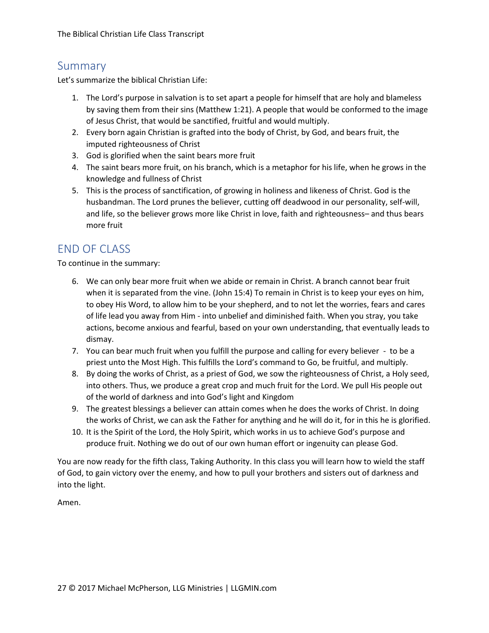#### Summary

Let's summarize the biblical Christian Life:

- 1. The Lord's purpose in salvation is to set apart a people for himself that are holy and blameless by saving them from their sins (Matthew 1:21). A people that would be conformed to the image of Jesus Christ, that would be sanctified, fruitful and would multiply.
- 2. Every born again Christian is grafted into the body of Christ, by God, and bears fruit, the imputed righteousness of Christ
- 3. God is glorified when the saint bears more fruit
- 4. The saint bears more fruit, on his branch, which is a metaphor for his life, when he grows in the knowledge and fullness of Christ
- 5. This is the process of sanctification, of growing in holiness and likeness of Christ. God is the husbandman. The Lord prunes the believer, cutting off deadwood in our personality, self-will, and life, so the believer grows more like Christ in love, faith and righteousness– and thus bears more fruit

### END OF CLASS

To continue in the summary:

- 6. We can only bear more fruit when we abide or remain in Christ. A branch cannot bear fruit when it is separated from the vine. (John 15:4) To remain in Christ is to keep your eyes on him, to obey His Word, to allow him to be your shepherd, and to not let the worries, fears and cares of life lead you away from Him - into unbelief and diminished faith. When you stray, you take actions, become anxious and fearful, based on your own understanding, that eventually leads to dismay.
- 7. You can bear much fruit when you fulfill the purpose and calling for every believer to be a priest unto the Most High. This fulfills the Lord's command to Go, be fruitful, and multiply.
- 8. By doing the works of Christ, as a priest of God, we sow the righteousness of Christ, a Holy seed, into others. Thus, we produce a great crop and much fruit for the Lord. We pull His people out of the world of darkness and into God's light and Kingdom
- 9. The greatest blessings a believer can attain comes when he does the works of Christ. In doing the works of Christ, we can ask the Father for anything and he will do it, for in this he is glorified.
- 10. It is the Spirit of the Lord, the Holy Spirit, which works in us to achieve God's purpose and produce fruit. Nothing we do out of our own human effort or ingenuity can please God.

You are now ready for the fifth class, Taking Authority. In this class you will learn how to wield the staff of God, to gain victory over the enemy, and how to pull your brothers and sisters out of darkness and into the light.

Amen.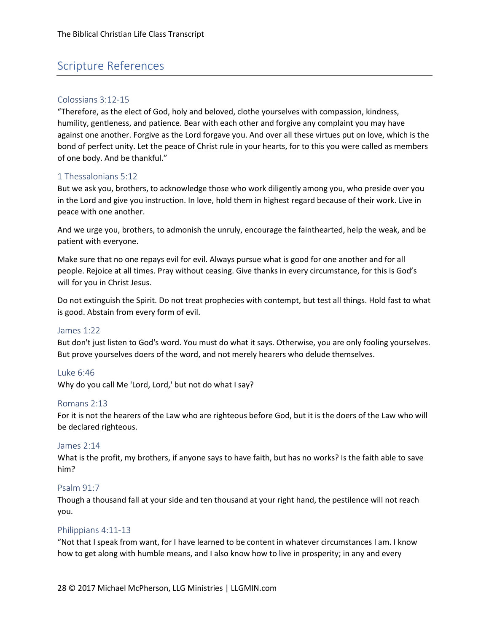## Scripture References

#### Colossians 3:12-15

"Therefore, as the elect of God, holy and beloved, clothe yourselves with compassion, kindness, humility, gentleness, and patience. Bear with each other and forgive any complaint you may have against one another. Forgive as the Lord forgave you. And over all these virtues put on love, which is the bond of perfect unity. Let the peace of Christ rule in your hearts, for to this you were called as members of one body. And be thankful."

#### 1 Thessalonians 5:12

But we ask you, brothers, to acknowledge those who work diligently among you, who preside over you in the Lord and give you instruction. In love, hold them in highest regard because of their work. Live in peace with one another.

And we urge you, brothers, to admonish the unruly, encourage the fainthearted, help the weak, and be patient with everyone.

Make sure that no one repays evil for evil. Always pursue what is good for one another and for all people. Rejoice at all times. Pray without ceasing. Give thanks in every circumstance, for this is God's will for you in Christ Jesus.

Do not extinguish the Spirit. Do not treat prophecies with contempt, but test all things. Hold fast to what is good. Abstain from every form of evil.

#### James 1:22

But don't just listen to God's word. You must do what it says. Otherwise, you are only fooling yourselves. But prove yourselves doers of the word, and not merely hearers who delude themselves.

#### Luke 6:46

Why do you call Me 'Lord, Lord,' but not do what I say?

#### Romans 2:13

For it is not the hearers of the Law who are righteous before God, but it is the doers of the Law who will be declared righteous.

#### James 2:14

What is the profit, my brothers, if anyone says to have faith, but has no works? Is the faith able to save him?

#### Psalm 91:7

Though a thousand fall at your side and ten thousand at your right hand, the pestilence will not reach you.

#### Philippians 4:11-13

"Not that I speak from want, for I have learned to be content in whatever circumstances I am. I know how to get along with humble means, and I also know how to live in prosperity; in any and every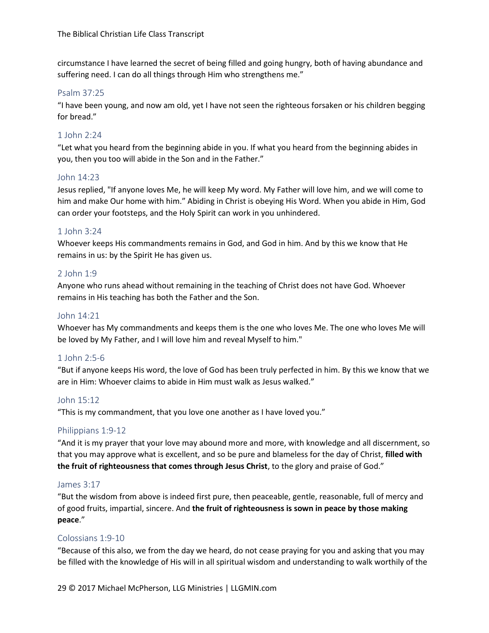circumstance I have learned the secret of being filled and going hungry, both of having abundance and suffering need. I can do all things through Him who strengthens me."

#### Psalm 37:25

"I have been young, and now am old, yet I have not seen the righteous forsaken or his children begging for bread."

#### 1 John 2:24

"Let what you heard from the beginning abide in you. If what you heard from the beginning abides in you, then you too will abide in the Son and in the Father."

#### John 14:23

Jesus replied, "If anyone loves Me, he will keep My word. My Father will love him, and we will come to him and make Our home with him." Abiding in Christ is obeying His Word. When you abide in Him, God can order your footsteps, and the Holy Spirit can work in you unhindered.

#### 1 John 3:24

Whoever keeps His commandments remains in God, and God in him. And by this we know that He remains in us: by the Spirit He has given us.

#### 2 John 1:9

Anyone who runs ahead without remaining in the teaching of Christ does not have God. Whoever remains in His teaching has both the Father and the Son.

#### John 14:21

Whoever has My commandments and keeps them is the one who loves Me. The one who loves Me will be loved by My Father, and I will love him and reveal Myself to him."

#### 1 John 2:5-6

"But if anyone keeps His word, the love of God has been truly perfected in him. By this we know that we are in Him: Whoever claims to abide in Him must walk as Jesus walked."

#### John 15:12

"This is my commandment, that you love one another as I have loved you."

#### Philippians 1:9-12

"And it is my prayer that your love may abound more and more, with knowledge and all discernment, so that you may approve what is excellent, and so be pure and blameless for the day of Christ, **filled with the fruit of righteousness that comes through Jesus Christ**, to the glory and praise of God."

#### James 3:17

"But the wisdom from above is indeed first pure, then peaceable, gentle, reasonable, full of mercy and of good fruits, impartial, sincere. And **the fruit of righteousness is sown in peace by those making peace**."

#### Colossians 1:9-10

"Because of this also, we from the day we heard, do not cease praying for you and asking that you may be filled with the knowledge of His will in all spiritual wisdom and understanding to walk worthily of the

29 © 2017 Michael McPherson, LLG Ministries | LLGMIN.com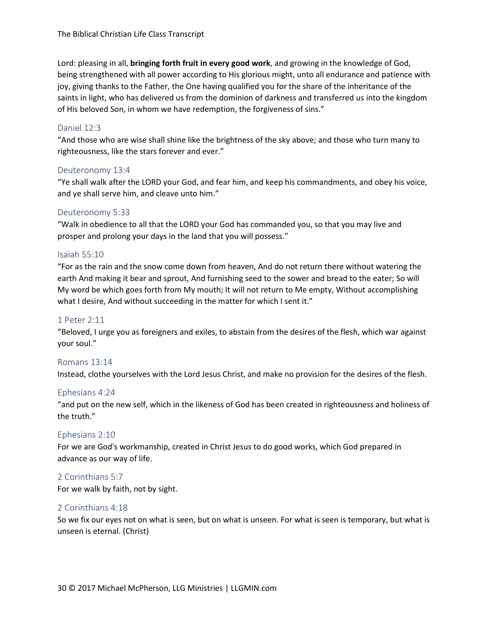Lord: pleasing in all, **bringing forth fruit in every good work**, and growing in the knowledge of God, being strengthened with all power according to His glorious might, unto all endurance and patience with joy, giving thanks to the Father, the One having qualified you for the share of the inheritance of the saints in light, who has delivered us from the dominion of darkness and transferred us into the kingdom of His beloved Son, in whom we have redemption, the forgiveness of sins."

#### Daniel 12:3

"And those who are wise shall shine like the brightness of the sky above; and those who turn many to righteousness, like the stars forever and ever."

#### Deuteronomy 13:4

"Ye shall walk after the LORD your God, and fear him, and keep his commandments, and obey his voice, and ye shall serve him, and cleave unto him."

#### Deuteronomy 5:33

"Walk in obedience to all that the LORD your God has commanded you, so that you may live and prosper and prolong your days in the land that you will possess."

#### Isaiah 55:10

"For as the rain and the snow come down from heaven, And do not return there without watering the earth And making it bear and sprout, And furnishing seed to the sower and bread to the eater; So will My word be which goes forth from My mouth; It will not return to Me empty, Without accomplishing what I desire, And without succeeding in the matter for which I sent it."

#### 1 Peter 2:11

"Beloved, I urge you as foreigners and exiles, to abstain from the desires of the flesh, which war against your soul."

#### Romans 13:14

Instead, clothe yourselves with the Lord Jesus Christ, and make no provision for the desires of the flesh.

#### Ephesians 4:24

"and put on the new self, which in the likeness of God has been created in righteousness and holiness of the truth."

#### Ephesians 2:10

For we are God's workmanship, created in Christ Jesus to do good works, which God prepared in advance as our way of life.

#### 2 Corinthians 5:7

For we walk by faith, not by sight.

#### 2 Corinthians 4:18

So we fix our eyes not on what is seen, but on what is unseen. For what is seen is temporary, but what is unseen is eternal. (Christ)